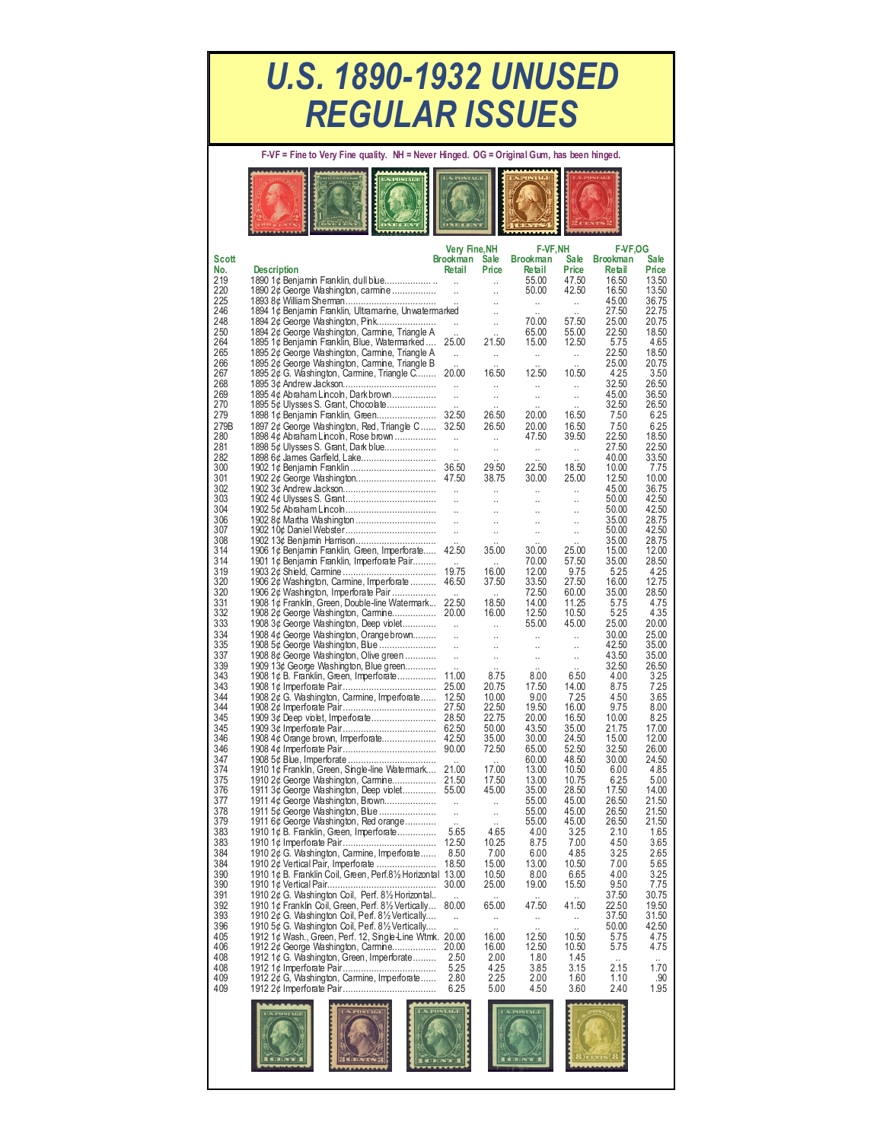## *U.S. 1890-1932 UNUSED REGULAR ISSUES*

**F-VF = Fine to Very Fine quality. NH = Never Hinged. OG = Original Gum, has been hinged.** 

| <b>CATA NOT</b> | ************ |  |  |
|-----------------|--------------|--|--|
|                 | DATE GENTL   |  |  |

|            |                                                                                                      | Very Fine, NH                       |                                   | <b>F-VF,NH</b>       |                      | <b>F-VF,OG</b>  |                |
|------------|------------------------------------------------------------------------------------------------------|-------------------------------------|-----------------------------------|----------------------|----------------------|-----------------|----------------|
| Scott      |                                                                                                      | Brookman                            | Sale                              | <b>Brookman</b>      | <b>Sale</b>          | <b>Brookman</b> | Sale           |
| No.<br>219 | <b>Description</b><br>1890 1¢ Benjamin Franklin, dull blue                                           | Retail<br>$\sim$                    | Price                             | Retail<br>55.00      | Price<br>47.50       | Retail<br>16.50 | Price<br>13.50 |
| 220        | 1890 2¢ George Washington, carmine                                                                   | $\sim$                              | ÷.<br>$\ddotsc$                   | 50.00                | 42.50                | 16.50           | 13.50          |
| 225        |                                                                                                      |                                     | $\ddot{\phantom{a}}$              |                      |                      | 45.00           | 36.75          |
| 246        | 1894 1¢ Benjamin Franklin, Ultramarine, Unwatermarked                                                |                                     | Ţ,                                |                      |                      | 27.50           | 22.75          |
| 248        | 1894 2¢ George Washington, Pink                                                                      |                                     | ä,                                | 70.00                | 57.50                | 25.00           | 20.75          |
| 250        | 1894 2¢ George Washington, Carmine, Triangle A                                                       |                                     |                                   | 65.00                | 55.00                | 22.50           | 18.50          |
| 264        | 1895 1¢ Benjamin Franklin, Blue, Watermarked                                                         | 25.00                               | 21.50                             | 15.00                | 12.50                | 5.75            | 4.65           |
| 265        | 1895 2¢ George Washington, Carmine, Triangle A                                                       | $\ddotsc$                           | .,                                |                      |                      | 22.50           | 18.50          |
| 266<br>267 | 1895 2¢ George Washington, Carmine, Triangle B<br>1895 2¢ G. Washington, Carmine, Triangle C         | 20.00                               | 16.50                             | 12.50                | 10.50                | 25.00<br>4.25   | 20.75<br>3.50  |
| 268        |                                                                                                      | $\ddot{\phantom{a}}$                | Ω.                                |                      | $\ddotsc$            | 32.50           | 26.50          |
| 269        | 1895 4¢ Abraham Lincoln, Darkbrown                                                                   | $\ddotsc$                           | à.                                | .,                   | $\ddotsc$            | 45.00           | 36.50          |
| 270        | 1895 5¢ Ulysses S. Grant, Chocolate                                                                  |                                     |                                   |                      |                      | 32.50           | 26.50          |
| 279        | 1898 1¢ Benjamin Franklin, Green                                                                     | 32.50                               | 26.50                             | 20.00                | 16.50                | 7.50            | 6.25           |
| 279B       | 1897 2¢ George Washington, Red, Triangle C 32.50                                                     |                                     | 26.50                             | 20.00                | 16.50                | 7.50            | 6.25           |
| 280        | 1898 4¢ Abraham Lincoln, Rose brown                                                                  | $\mathcal{L}_{\mathcal{L}}$         | Ω,                                | 47.50                | 39.50                | 22.50           | 18.50          |
| 281        | 1898 5¢ Ulysses S. Grant, Dark blue                                                                  | $\ddotsc$                           | $\ddotsc$                         |                      |                      | 27.50           | 22.50          |
| 282        | 1898 6¢ James Garfield, Lake                                                                         |                                     |                                   |                      |                      | 40.00           | 33.50          |
| 300        |                                                                                                      |                                     | 29.50                             | 22.50                | 18.50                | 10.00           | 7.75           |
| 301<br>302 |                                                                                                      |                                     | 38.75                             | 30.00                | 25.00                | 12.50<br>45.00  | 10.00<br>36.75 |
| 303        |                                                                                                      |                                     | $\ddotsc$<br>$\ddot{\phantom{0}}$ | <br>$\ddotsc$        | $\ddotsc$<br>        | 50.00           | 42.50          |
| 304        |                                                                                                      |                                     | $\ddotsc$                         | u.                   | $\ddotsc$            | 50.00           | 42.50          |
| 306        | 1902 8¢ Martha Washington                                                                            | $\mathcal{L}$                       | $\ddot{\phantom{a}}$              | $\ddot{\phantom{a}}$ | $\ddotsc$            | 35.00           | 28.75          |
| 307        |                                                                                                      | $\bar{\mathcal{A}}$                 | $\ddotsc$                         | $\ddotsc$            | $\ddotsc$            | 50.00           | 42.50          |
| 308        | 1902 13¢ Benjamin Harrison                                                                           |                                     |                                   |                      |                      | 35.00           | 28.75          |
| 314        | 1906 1¢ Benjamin Franklin, Green, Imperforate                                                        | 42.50                               | 35.00                             | 30.00                | 25.00                | 15.00           | 12.00          |
| 314        | 1901 1¢ Benjamin Franklin, Imperforate Pair                                                          |                                     |                                   | 70.00                | 57.50                | 35.00           | 28.50          |
| 319<br>320 |                                                                                                      | 19.75<br>46.50                      | 16.00<br>37.50                    | 12.00                | 9.75<br>27.50        | 5.25<br>16.00   | 4.25<br>12.75  |
| 320        | 1906 2¢ Washington, Carmine, Imperforate<br>1906 2¢ Washington, Imperforate Pair                     |                                     |                                   | 33.50<br>72.50       | 60.00                | 35.00           | 28.50          |
| 331        | 1908 1¢ Franklin, Green, Double-line Watermark                                                       | 22.50                               | 18.50                             | 14.00                | 11.25                | 5.75            | 4.75           |
| 332        |                                                                                                      |                                     | 16.00                             | 12.50                | 10.50                | 5.25            | 4.35           |
| 333        | 1908 3¢ George Washington, Deep violet                                                               | $\mathbf{r}$                        | $\ddotsc$                         | 55.00                | 45.00                | 25.00           | 20.00          |
| 334        | 1908 4¢ George Washington, Orange brown                                                              | $\ddot{\phantom{a}}$                | .,                                |                      | $\ddotsc$            | 30.00           | 25.00          |
| 335        | 1908 5¢ George Washington, Blue                                                                      | $\mathcal{L}$                       | $\ddotsc$                         |                      | $\ldots$             | 42.50           | 35.00          |
| 337        | 1908 8¢ George Washington, Olive green                                                               | $\ddot{\phantom{a}}$                | $\ddot{\phantom{1}}$              |                      | $\ddot{\phantom{1}}$ | 43.50           | 35.00          |
| 339        | 1909 13¢ George Washington, Blue green                                                               |                                     |                                   | $\ddot{\phantom{a}}$ |                      | 32.50           | 26.50          |
| 343        | 1908 1¢ B. Franklin, Green, Imperforate                                                              | 11.00                               | 8.75                              | 8.00                 | 6.50                 | 4.00            | 3.25           |
| 343<br>344 | 1908 2¢ G. Washington, Carmine, Imperforate                                                          | 12.50                               | 20.75<br>10.00                    | 17.50<br>9.00        | 14.00<br>7.25        | 8.75<br>4.50    | 7.25<br>3.65   |
| 344        |                                                                                                      |                                     | 22.50                             | 19.50                | 16.00                | 9.75            | 8.00           |
| 345        |                                                                                                      |                                     | 22.75                             | 20.00                | 16.50                | 10.00           | 8.25           |
| 345        |                                                                                                      |                                     | 50.00                             | 43.50                | 35.00                | 21.75           | 17.00          |
| 346        |                                                                                                      |                                     | 35.00                             | 30.00                | 24.50                | 15.00           | 12.00          |
| 346        |                                                                                                      |                                     | 72.50                             | 65.00                | 52.50                | 32.50           | 26.00          |
| 347        |                                                                                                      |                                     |                                   | 60.00                | 48.50                | 30.00           | 24.50          |
| 374        | 1910 1¢ Franklin, Green, Single-line Watermark 21.00                                                 |                                     | 17.00                             | 13.00                | 10.50                | 6.00            | 4.85           |
| 375        |                                                                                                      |                                     | 17.50                             | 13.00                | 10.75                | 6.25            | 5.00           |
| 376<br>377 | 1911 3¢ George Washington, Deep violet 55.00                                                         |                                     | 45.00                             | 35.00<br>55.00       | 28.50<br>45.00       | 17.50<br>26.50  | 14.00<br>21.50 |
| 378        | 1911 4¢ George Washington, Brown<br>1911 5¢ George Washington, Blue                                  | $\mathbf{r}$<br>$\bar{\mathcal{A}}$ | u.<br>$\ddot{\phantom{a}}$        | 55.00                | 45.00                | 26.50           | 21.50          |
| 379        | 1911 6¢ George Washington, Red orange                                                                |                                     |                                   | 55.00                | 45.00                | 26.50           | 21.50          |
| 383        | 1910 1¢ B. Franklin, Green, Imperforate                                                              | 5.65                                | 4.65                              | 4.00                 | 3.25                 | 2.10            | 1.65           |
| 383        |                                                                                                      | 12.50                               | 10.25                             | 8.75                 | 7.00                 | 4.50            | 3.65           |
| 384        | 1910 2¢ G. Washington, Carmine, Imperforate                                                          | 8.50                                | 7.00                              | 6.00                 | 4.85                 | 3.25            | 2.65           |
| 384        | 1910 2¢ Vertical Pair, Imperforate                                                                   | 18.50                               | 15.00                             | 13.00                | 10.50                | 7.00            | 5.65           |
| 390        | 1910 1¢ B. Franklin Coil, Green, Perf.8½ Horizontal 13.00                                            |                                     | 10.50                             | 8.00                 | 6.65                 | 4.00            | 3.25           |
| 390        |                                                                                                      |                                     | 25.00                             | 19.00                | 15.50                | 9.50            | 7.75           |
| 391        | 1910 2¢ G. Washington Coil, Perf. 8½ Horizontal                                                      |                                     |                                   |                      |                      | 37.50           | 30.75          |
| 392<br>393 | 1910 1¢ Franklin Coil, Green, Perf. 8½ Vertically                                                    | 80.00                               | 65.00                             | 47.50                | 41.50                | 22.50<br>37.50  | 19.50<br>31.50 |
| 396        | 1910 2¢ G. Washington Coil, Perf. 8½ Vertically<br>1910 5¢ G. Washington Coil, Perf. 81/2 Vertically | $\ddotsc$                           | .,                                | .,                   | $\ddotsc$            | 50.00           | 42.50          |
| 405        | 1912 1¢ Wash., Green, Perf. 12, Single-Line Wtmk. 20.00                                              |                                     | 16.00                             | 12.50                | 10.50                | 5.75            | 4.75           |
| 406        | 1912 2¢ George Washington, Carmine                                                                   | 20.00                               | 16.00                             | 12.50                | 10.50                | 5.75            | 4.75           |
| 408        | 1912 1¢ G. Washington, Green, Imperforate                                                            | 2.50                                | 2.00                              | 1.80                 | 1.45                 |                 |                |
| 408        |                                                                                                      | 5.25                                | 4.25                              | 3.85                 | 3.15                 | 2.15            | 1.70           |
| 409        | 1912 2¢ G, Washington, Carmine, Imperforate                                                          | 2.80                                | 2.25                              | 2.00                 | 1.60                 | 1.10            | .90            |
| 409        |                                                                                                      | 6.25                                | 5.00                              | 4.50                 | 3.60                 | 2.40            | 1.95           |
|            |                                                                                                      |                                     |                                   |                      |                      |                 |                |
|            | POSTAGE                                                                                              | <b>S.POSTAGE</b>                    |                                   | <b>S.POSTAGE</b>     |                      |                 |                |
|            |                                                                                                      |                                     |                                   |                      |                      |                 |                |

<u>KA KAHAKAHAKAHAKA</u>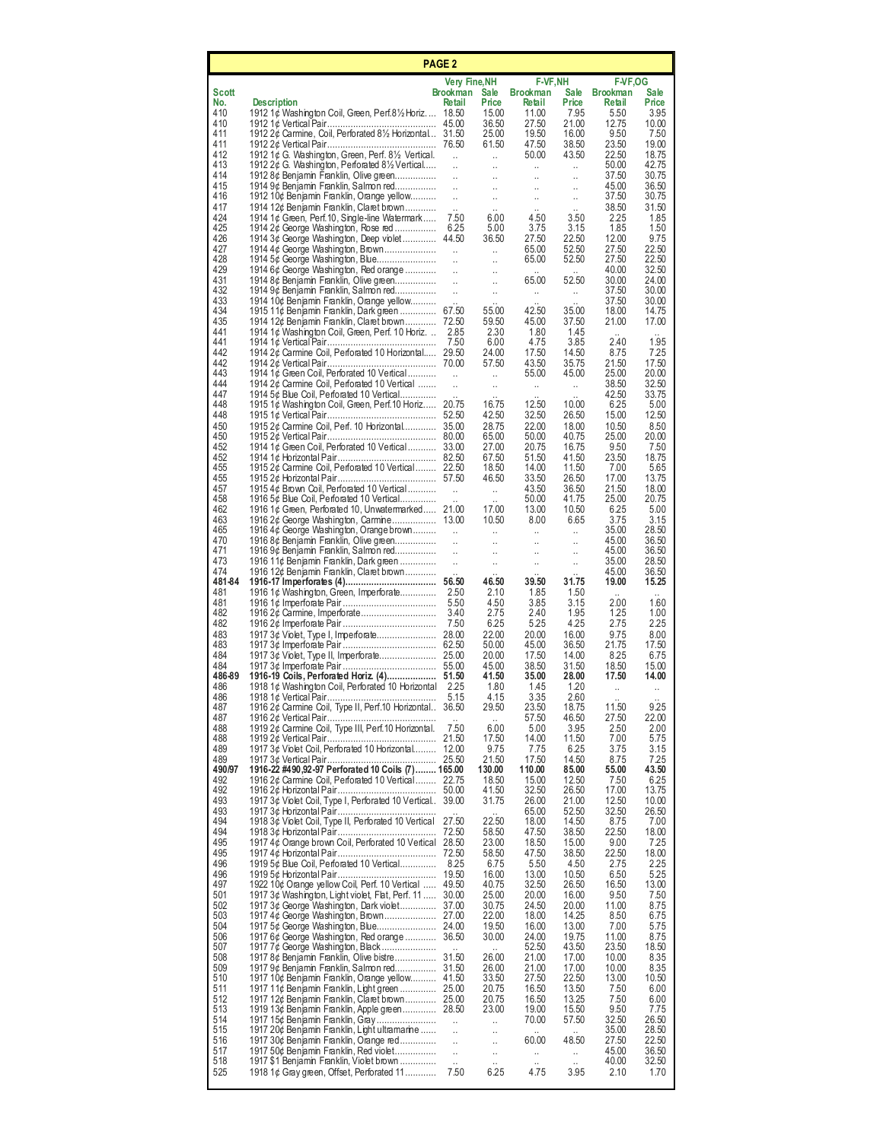| PAGE <sub>2</sub> |                                                                                                                   |                                              |                                              |                                      |                               |                           |                      |  |
|-------------------|-------------------------------------------------------------------------------------------------------------------|----------------------------------------------|----------------------------------------------|--------------------------------------|-------------------------------|---------------------------|----------------------|--|
|                   |                                                                                                                   | Very Fine, NH                                |                                              | <b>F-VF, NH</b>                      |                               | <b>F-VF,OG</b>            |                      |  |
| Scott<br>No.      | <b>Description</b>                                                                                                | Brookman<br>Retail                           | <b>Sale</b><br>Price                         | <b>Brookman</b><br>Retail            | <b>Sale</b><br>Price          | <b>Brookman</b><br>Retail | <b>Sale</b><br>Price |  |
| 410               | 1912 1¢ Washington Coil, Green, Perf.81/2 Horiz 18.50                                                             |                                              | 15.00                                        | 11.00                                | 7.95                          | 5.50                      | 3.95                 |  |
| 410<br>411        | 1912 2¢ Carmine, Coil, Perforated 81/2 Horizontal 31.50                                                           |                                              | 36.50<br>25.00                               | 27.50<br>19.50                       | 21.00<br>16.00                | 12.75<br>9.50             | 10.00<br>7.50        |  |
| 411               |                                                                                                                   |                                              | 61.50                                        | 47.50                                | 38.50                         | 23.50                     | 19.00                |  |
| 412<br>413        | 1912 1¢ G. Washington, Green, Perf. 81/2 Vertical.<br>1912 $2¢$ G. Washington, Perforated $8\frac{1}{2}$ Vertical | $\ddot{\phantom{a}}$<br>$\ddot{\phantom{a}}$ | $\ddot{\phantom{a}}$<br>$\ddot{\phantom{a}}$ | 50.00<br>$\mathcal{L}_{\mathcal{A}}$ | 43.50<br>u.                   | 22.50<br>50.00            | 18.75<br>42.75       |  |
| 414               | 1912 8¢ Benjamin Franklin, Olive green                                                                            | $\mathbb{R}^2$                               |                                              | $\ddotsc$                            | $\ddotsc$                     | 37.50                     | 30.75                |  |
| 415<br>416        | 1914 9¢ Benjamin Franklin, Salmon red<br>1912 10¢ Benjamin Franklin, Orange yellow                                | $\ddot{\phantom{a}}$<br>$\ddotsc$            | u,                                           | $\ddotsc$                            | $\ddotsc$<br>u,               | 45.00<br>37.50            | 36.50<br>30.75       |  |
| 417<br>424        | 1914 12¢ Benjamin Franklin, Claret brown                                                                          |                                              |                                              | 4.50                                 |                               | 38.50                     | 31.50<br>1.85        |  |
| 425               | 1914 1¢ Green, Perf.10, Single-line Watermark<br>1914 2¢ George Washington, Rose red                              | 7.50<br>6.25                                 | 6.00<br>5.00                                 | 3.75                                 | 3.50<br>3.15                  | 2.25<br>1.85              | 1.50                 |  |
| 426<br>427        | 1914 3¢ George Washington, Deep violet 44.50                                                                      |                                              | 36.50                                        | 27.50                                | 22.50                         | 12.00                     | 9.75                 |  |
| 428               | 1914 4¢ George Washington, Brown<br>1914 5¢ George Washington, Blue                                               | $\ddot{\phantom{a}}$<br>$\ddot{\phantom{1}}$ | $\ddot{\phantom{a}}$<br>$\ddotsc$            | 65.00<br>65.00                       | 52.50<br>52.50                | 27.50<br>27.50            | 22.50<br>22.50       |  |
| 429<br>431        | 1914 6¢ George Washington, Red orange<br>1914 8¢ Benjamin Franklin, Olive green                                   | $\mathcal{L}$<br>$\sim$                      | $\ddotsc$<br>$\ddotsc$                       | 65.00                                | 52.50                         | 40.00<br>30.00            | 32.50<br>24.00       |  |
| 432               | 1914 9¢ Benjamin Franklin, Salmon red                                                                             | $\ddot{\phantom{a}}$                         | $\ddotsc$                                    | $\ddotsc$                            | u.                            | 37.50                     | 30.00                |  |
| 433<br>434        | 1914 10¢ Benjamin Franklin, Orange yellow<br>1915 11¢ Benjamin Franklin, Dark green 67.50                         |                                              | 55.00                                        | 42.50                                | 35.00                         | 37.50<br>18.00            | 30.00<br>14.75       |  |
| 435               | 1914 12¢ Benjamin Franklin, Claret brown 72.50                                                                    |                                              | 59.50                                        | 45.00                                | 37.50                         | 21.00                     | 17.00                |  |
| 441<br>441        | 1914 1¢ Washington Coil, Green, Perf. 10 Horiz                                                                    | 2.85<br>7.50                                 | 2.30<br>6.00                                 | 1.80<br>4.75                         | 1.45<br>3.85                  | 2.40                      | 1.95                 |  |
| 442               | 1914 2¢ Carmine Coil, Perforated 10 Horizontal 29.50                                                              |                                              | 24.00                                        | 17.50                                | 14.50                         | 8.75                      | 7.25                 |  |
| 442<br>443        | 1914 1¢ Green Coil, Perforated 10 Vertical                                                                        | $\mathbf{r}$                                 | 57.50<br>$\mathcal{L}_{\mathcal{A}}$         | 43.50<br>55.00                       | 35.75<br>45.00                | 21.50<br>25.00            | 17.50<br>20.00       |  |
| 444<br>447        | 1914 2¢ Carmine Coil, Perforated 10 Vertical                                                                      | $\ddot{\phantom{a}}$                         | $\ddot{\phantom{a}}$                         | $\ddot{\phantom{1}}$                 | $\mathcal{L}_{\mathcal{A}}$   | 38.50                     | 32.50                |  |
| 448               | 1914 5¢ Blue Coil, Perforated 10 Vertical<br>1915 1¢ Washington Coil, Green, Perf. 10 Horiz                       | 20.75                                        | 16.75                                        | 12.50                                | 10.00                         | 42.50<br>6.25             | 33.75<br>5.00        |  |
| 448<br>450        | 1915 2¢ Carmine Coil, Perf. 10 Horizontal 35.00                                                                   |                                              | 42.50<br>28.75                               | 32.50<br>22.00                       | 26.50<br>18.00                | 15.00<br>10.50            | 12.50<br>8.50        |  |
| 450               |                                                                                                                   |                                              | 65.00                                        | 50.00                                | 40.75                         | 25.00                     | 20.00                |  |
| 452<br>452        | 1914 1¢ Green Coil, Perforated 10 Vertical 33.00                                                                  |                                              | 27.00<br>67.50                               | 20.75<br>51.50                       | 16.75<br>41.50                | 9.50<br>23.50             | 7.50<br>18.75        |  |
| 455               | 1915 2¢ Carmine Coil, Perforated 10 Vertical 22.50                                                                |                                              | 18.50                                        | 14.00                                | 11.50                         | 7.00                      | 5.65                 |  |
| 455<br>457        | 1915 4¢ Brown Coil, Perforated 10 Vertical                                                                        | $\ddot{\phantom{a}}$                         | 46.50<br>W.                                  | 33.50<br>43.50                       | 26.50<br>36.50                | 17.00<br>21.50            | 13.75<br>18.00       |  |
| 458               | 1916 5¢ Blue Coil, Perforated 10 Vertical                                                                         |                                              | $\ddot{\phantom{a}}$                         | 50.00                                | 41.75                         | 25.00                     | 20.75                |  |
| 462<br>463        | 1916 1¢ Green, Perforated 10, Unwatermarked 21.00                                                                 |                                              | 17.00<br>10.50                               | 13.00<br>8.00                        | 10.50<br>6.65                 | 6.25<br>3.75              | 5.00<br>3.15         |  |
| 465               | 1916 4¢ George Washington, Orange brown                                                                           | $\mathbf{H}$                                 | $\ddot{\phantom{a}}$                         | $\bar{\mathcal{A}}$                  | u,                            | 35.00                     | 28.50                |  |
| 470<br>471        | 1916 8¢ Benjamin Franklin, Olive green<br>1916 9¢ Benjamin Franklin, Salmon red                                   | $\ddot{\phantom{a}}$<br>$\ddotsc$            | $\ddotsc$<br>$\ddotsc$                       | $\ddotsc$<br>$\ddotsc$               | $\ddotsc$<br>u,               | 45.00<br>45.00            | 36.50<br>36.50       |  |
| 473<br>474        | 1916 11¢ Benjamin Franklin, Dark green                                                                            | $\ddot{\phantom{a}}$                         | $\ddotsc$                                    | $\ddotsc$                            | $\ddotsc$                     | 35.00<br>45.00            | 28.50<br>36.50       |  |
| 481-84            | 1916 12¢ Benjamin Franklin, Claret brown                                                                          |                                              | 46.50                                        | 39.50                                | 31.75                         | 19.00                     | 15.25                |  |
| 481<br>481        | 1916 1¢ Washington, Green, Imperforate                                                                            | 2.50<br>5.50                                 | 2.10<br>4.50                                 | 1.85<br>3.85                         | 1.50<br>3.15                  | 2.00                      | 1.60                 |  |
| 482               |                                                                                                                   | 3.40                                         | 2.75                                         | 2.40                                 | 1.95                          | 1.25                      | 1.00                 |  |
| 482<br>483        |                                                                                                                   | 7.50                                         | 6.25<br>22.00                                | 5.25<br>20.00                        | 4.25<br>16.00                 | 2.75<br>9.75              | 2.25<br>8.00         |  |
| 483               |                                                                                                                   |                                              | 50.00                                        | 45.00                                | 36.50                         | 21.75                     | 17.50                |  |
| 484<br>484        |                                                                                                                   |                                              | 20.00<br>45.00                               | 17.50<br>38.50                       | 14.00<br>31.50                | 8.25<br>18.50             | 6.75<br>15.00        |  |
| 486-89<br>486     |                                                                                                                   | - 2.25                                       | 41.50<br>1.80                                | 35.00<br>1.45                        | 28.00<br>1.20                 | 17.50                     | 14.00                |  |
| 486               | 1918 1¢ Washington Coil, Perforated 10 Horizontal                                                                 | 5.15                                         | 4.15                                         | 3.35                                 | 2.60                          | ä,                        |                      |  |
| 487<br>487        | 1916 2¢ Carmine Coil, Type II, Perf.10 Horizontal. 36.50                                                          |                                              | 29.50<br>$\ddot{\phantom{a}}$                | 23.50<br>57.50                       | 18.75<br>46.50                | 11.50<br>27.50            | 9.25<br>22.00        |  |
| 488               | 1919 2¢ Carmine Coil, Type III, Perf.10 Horizontal.                                                               | 7.50                                         | 6.00                                         | 5.00                                 | 3.95                          | 2.50                      | 2.00                 |  |
| 488<br>489        | 1917 3¢ Violet Coil, Perforated 10 Horizontal                                                                     | 21.50<br>12.00                               | 17.50<br>9.75                                | 14.00<br>7.75                        | 11.50<br>6.25                 | 7.00<br>3.75              | 5.75<br>3.15         |  |
| 489               |                                                                                                                   |                                              | 21.50                                        | 17.50                                | 14.50                         | 8.75                      | 7.25                 |  |
| 490/97<br>492     | 1916-22 #490,92-97 Perforated 10 Coils (7) 165.00<br>1916 2¢ Carmine Coil, Perforated 10 Vertical 22.75           |                                              | 130.00<br>18.50                              | 110.00<br>15.00                      | 85.00<br>12.50                | 55.00<br>7.50             | 43.50<br>6.25        |  |
| 492<br>493        | 1917 3¢ Violet Coil, Type I, Perforated 10 Vertical. 39.00                                                        | 50.00                                        | 41.50<br>31.75                               | 32.50<br>26.00                       | 26.50<br>21.00                | 17.00<br>12.50            | 13.75<br>10.00       |  |
| 493               |                                                                                                                   |                                              |                                              | 65.00                                | 52.50                         | 32.50                     | 26.50                |  |
| 494<br>494        | 1918 3¢ Violet Coil, Type II, Perforated 10 Vertical                                                              | 27.50<br>72.50                               | 22.50<br>58.50                               | 18.00<br>47.50                       | 14.50<br>38.50                | 8.75<br>22.50             | 7.00<br>18.00        |  |
| 495               | 1917 4¢ Orange brown Coil, Perforated 10 Vertical 28.50                                                           |                                              | 23.00                                        | 18.50                                | 15.00                         | 9.00                      | 7.25                 |  |
| 495<br>496        | 1919 5¢ Blue Coil, Perforated 10 Vertical                                                                         | 8.25                                         | 58.50<br>6.75                                | 47.50<br>5.50                        | 38.50<br>4.50                 | 22.50<br>2.75             | 18.00<br>2.25        |  |
| 496               |                                                                                                                   | 19.50                                        | 16.00                                        | 13.00                                | 10.50                         | 6.50                      | 5.25                 |  |
| 497<br>501        | 1922 10¢ Orange yellow Coil, Perf. 10 Vertical<br>1917 3¢ Washington, Light violet, Flat, Perf. 11                | 49.50<br>30.00                               | 40.75<br>25.00                               | 32.50<br>20.00                       | 26.50<br>16.00                | 16.50<br>9.50             | 13.00<br>7.50        |  |
| 502               | 1917 3¢ George Washington, Dark violet                                                                            | 37.00                                        | 30.75                                        | 24.50                                | 20.00                         | 11.00                     | 8.75                 |  |
| 503<br>504        | 1917 5¢ George Washington, Blue                                                                                   | 24.00                                        | 22.00<br>19.50                               | 18.00<br>16.00                       | 14.25<br>13.00                | 8.50<br>7.00              | 6.75<br>5.75         |  |
| 506<br>507        | 1917 6¢ George Washington, Red orange 36.50                                                                       |                                              | 30.00                                        | 24.00                                | 19.75<br>43.50                | 11.00<br>23.50            | 8.75<br>18.50        |  |
| 508               | 1917 7¢ George Washington, Black<br>1917 8¢ Benjamin Franklin, Olive bistre                                       | 31.50                                        | 26.00                                        | 52.50<br>21.00                       | 17.00                         | 10.00                     | 8.35                 |  |
| 509<br>510        | 1917 10¢ Benjamin Franklin, Orange yellow 41.50                                                                   |                                              | 26.00<br>33.50                               | 21.00<br>27.50                       | 17.00<br>22.50                | 10.00<br>13.00            | 8.35<br>10.50        |  |
| 511               | 1917 11¢ Benjamin Franklin, Light green                                                                           | 25.00                                        | 20.75                                        | 16.50                                | 13.50                         | 7.50                      | 6.00                 |  |
| 512<br>513        | 1917 12¢ Benjamin Franklin, Claret brown 25.00<br>1919 13¢ Benjamin Franklin, Apple green 28.50                   |                                              | 20.75<br>23.00                               | 16.50<br>19.00                       | 13.25<br>15.50                | 7.50<br>9.50              | 6.00<br>7.75         |  |
| 514               | 1917 15¢ Benjamin Franklin, Gray                                                                                  | $\ddotsc$                                    | .,                                           | 70.00                                | 57.50                         | 32.50                     | 26.50                |  |
| 515<br>516        | 1917 20¢ Benjamin Franklin, Light ultramarine<br>1917 30¢ Benjamin Franklin, Orange red                           | $\ddot{\phantom{a}}$<br>$\ddotsc$            | $\ddotsc$<br>$\ddotsc$                       | $\ddot{\phantom{a}}$<br>60.00        | $\ddot{\phantom{a}}$<br>48.50 | 35.00<br>27.50            | 28.50<br>22.50       |  |
| 517<br>518        | 1917 50¢ Benjamin Franklin, Red violet<br>1917 \$1 Benjamin Franklin, Violet brown                                | l.                                           | $\ddotsc$                                    | u.                                   | u,                            | 45.00<br>40.00            | 36.50<br>32.50       |  |
| 525               | 1918 1¢ Gray green, Offset, Perforated 11                                                                         | $\mathbf{r}$<br>7.50                         | 6.25                                         | 4.75                                 | 3.95                          | 2.10                      | 1.70                 |  |
|                   |                                                                                                                   |                                              |                                              |                                      |                               |                           |                      |  |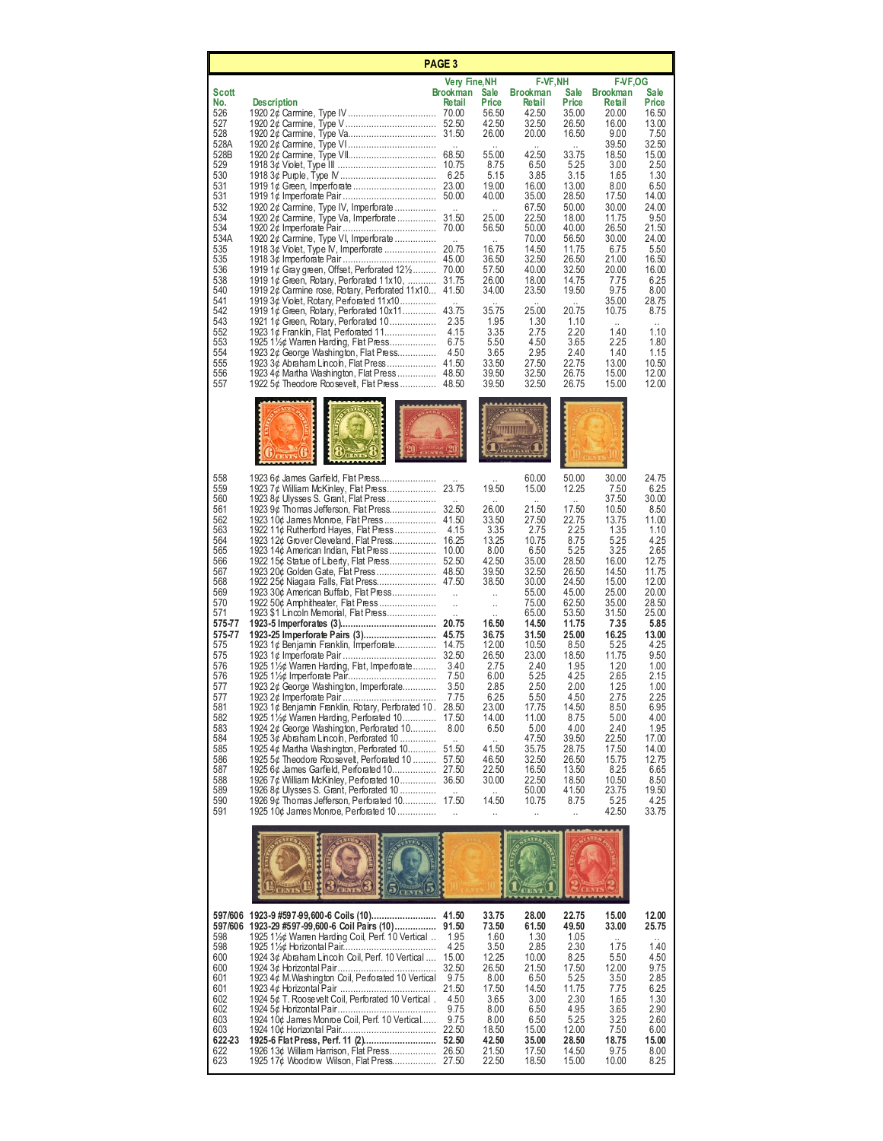| <b>PAGE 3</b>                          |                                                                                                                                                                                                                                                     |                                                |                                                |                                                      |                                                 |                                                              |                                                         |  |
|----------------------------------------|-----------------------------------------------------------------------------------------------------------------------------------------------------------------------------------------------------------------------------------------------------|------------------------------------------------|------------------------------------------------|------------------------------------------------------|-------------------------------------------------|--------------------------------------------------------------|---------------------------------------------------------|--|
| Scott                                  |                                                                                                                                                                                                                                                     | <b>Very Fine, NH</b>                           |                                                | F-VF,NH                                              |                                                 | <b>F-VF,OG</b>                                               |                                                         |  |
| No.<br>526<br>527<br>528<br>528A       | <b>Description</b>                                                                                                                                                                                                                                  | <b>Brookman</b><br>Retail                      | Sale<br>Price<br>56.50<br>42.50<br>26.00       | <b>Brookman</b><br>Retail<br>42.50<br>32.50<br>20.00 | <b>Sale</b><br>Price<br>35.00<br>26.50<br>16.50 | <b>Brookman</b><br>Retail<br>20.00<br>16.00<br>9.00<br>39.50 | <b>Sale</b><br>Price<br>16.50<br>13.00<br>7.50<br>32.50 |  |
| 528B<br>529<br>530<br>531<br>531       |                                                                                                                                                                                                                                                     |                                                | 55.00<br>8.75<br>5.15<br>19.00<br>40.00        | 42.50<br>6.50<br>3.85<br>16.00<br>35.00              | 33.75<br>5.25<br>3.15<br>13.00<br>28.50         | 18.50<br>3.00<br>1.65<br>8.00<br>17.50                       | 15.00<br>2.50<br>1.30<br>6.50<br>14.00                  |  |
| 532<br>534<br>534<br>534A<br>535       | 1920 2¢ Carmine, Type IV, Imperforate<br>1920 2¢ Carmine, Type Va, Imperforate<br>1920 2¢ Carmine, Type VI, Imperforate                                                                                                                             | 31.50                                          | 25.00<br>56.50<br>16.75                        | 67.50<br>22.50<br>50.00<br>70.00<br>14.50            | 50.00<br>18.00<br>40.00<br>56.50<br>11.75       | 30.00<br>11.75<br>26.50<br>30.00<br>6.75                     | 24.00<br>9.50<br>21.50<br>24.00<br>5.50                 |  |
| 535<br>536<br>538<br>540<br>541        | 1919 1¢ Gray green, Offset, Perforated $12\frac{1}{2}$ 70.00<br>1919 1¢ Green, Rotary, Perforated 11x10,<br>1919 $2¢$ Carmine rose, Rotary, Perforated 11 $x10$ 41.50<br>1919 3¢ Violet, Rotary, Perforated 11x10                                   | 31.75                                          | 36.50<br>57.50<br>26.00<br>34.00               | 32.50<br>40.00<br>18.00<br>23.50                     | 26.50<br>32.50<br>14.75<br>19.50                | 21.00<br>20.00<br>7.75<br>9.75<br>35.00                      | 16.50<br>16.00<br>6.25<br>8.00<br>28.75                 |  |
| 542<br>543<br>552<br>553<br>554<br>555 | 1919 $1¢$ Green, Rotary, Perforated $10x11$<br>1921 1¢ Green, Rotary, Perforated 10<br>1923 1¢ Franklin, Flat, Perforated 11<br>1925 1½¢ Warren Harding, Flat Press<br>1923 2¢ George Washington, Flat Press                                        | 43.75<br>2.35<br>4.15<br>6.75<br>4.50          | 35.75<br>1.95<br>3.35<br>5.50<br>3.65<br>33.50 | 25.00<br>1.30<br>2.75<br>4.50<br>2.95<br>27.50       | 20.75<br>1.10<br>2.20<br>3.65<br>2.40<br>22.75  | 10.75<br>1.40<br>2.25<br>1.40<br>13.00                       | 8.75<br>1.10<br>1.80<br>1.15<br>10.50                   |  |
| 556<br>557                             | 1922 5¢ Theodore Roosevelt, Flat Press 48.50                                                                                                                                                                                                        |                                                | 39.50<br>39.50                                 | 32.50<br>32.50                                       | 26.75<br>26.75                                  | 15.00<br>15.00                                               | 12.00<br>12.00                                          |  |
|                                        |                                                                                                                                                                                                                                                     |                                                |                                                |                                                      |                                                 |                                                              |                                                         |  |
| 558<br>559<br>560<br>561               | 1923 6¢ James Garfield, Flat Press<br>1923 7¢ William McKinley, Flat Press<br>1923 8¢ Ulysses S. Grant, Flat Press<br>1923 9¢ Thomas Jefferson, Flat Press                                                                                          | 23.75<br>32.50                                 | 19.50<br>26.00                                 | 60.00<br>15.00<br>21.50                              | 50.00<br>12.25<br>17.50                         | 30.00<br>7.50<br>37.50<br>10.50                              | 24.75<br>6.25<br>30.00<br>8.50                          |  |
| 562<br>563<br>564<br>565               | 1922 11¢ Rutherford Hayes, Flat Press<br>1923 12¢ Grover Cleveland, Flat Press                                                                                                                                                                      | 4.15<br>16.25                                  | 33.50<br>3.35<br>13.25<br>8.00                 | 27.50<br>2.75<br>10.75<br>6.50                       | 22.75<br>2.25<br>8.75<br>5.25                   | 13.75<br>1.35<br>5.25<br>3.25                                | 11.00<br>1.10<br>4.25<br>2.65                           |  |
| 566<br>567<br>568<br>569<br>570        | 1923 30¢ American Buffalo, Flat Press<br>1922 50¢ Amphitheater, Flat Press                                                                                                                                                                          | $\ddotsc$<br>$\ddot{\phantom{0}}$              | 42.50<br>39.50<br>38.50<br>ä,<br>              | 35.00<br>32.50<br>30.00<br>55.00<br>75.00            | 28.50<br>26.50<br>24.50<br>45.00<br>62.50       | 16.00<br>14.50<br>15.00<br>25.00<br>35.00                    | 12.75<br>11.75<br>12.00<br>20.00<br>28.50               |  |
| 571<br>575-77<br>575-77<br>575<br>575  | 1923 \$1 Lincoln Memorial, Flat Press<br>1923 1¢ Benjamin Franklin, Imperforate 14.75                                                                                                                                                               |                                                | 16.50<br>36.75<br>12.00<br>26.50               | 65.00<br>14.50<br>31.50<br>10.50<br>23.00            | 53.50<br>11.75<br>25.00<br>8.50<br>18.50        | 31.50<br>7.35<br>16.25<br>5.25<br>11.75                      | 25.00<br>5.85<br>13.00<br>4.25<br>9.50                  |  |
| 576<br>576<br>577<br>577               | 1925 11/ <sub>2</sub> ¢ Warren Harding, Flat, Imperforate<br>1923 2¢ George Washington, Imperforate<br>1923 2¢ Imperforate Pair.                                                                                                                    | -3.40<br>7.50<br>3.50<br>7.75                  | 2.75<br>6.00<br>2.85<br>6.25                   | 2.40<br>5.25<br>2.50<br>5.50                         | 1.95<br>4.25<br>2.00<br>4.50                    | 1.20<br>2.65<br>1.25<br>2.75                                 | 1.00<br>2.15<br>1.00<br>2.25                            |  |
| 581<br>582<br>583<br>584<br>585        | 1923 1¢ Benjamin Franklin, Rotary, Perforated 10 . 28.50<br>1925 11/ <sub>2</sub> ¢ Warren Harding, Perforated 10<br>1924 2¢ George Washington, Perforated 10<br>1925 3¢ Abraham Lincoln, Perforated 10<br>1925 4¢ Martha Washington, Perforated 10 | 17.50<br>8.00<br>$\ddot{\phantom{a}}$<br>51.50 | 23.00<br>14.00<br>6.50<br>41.50                | 17.75<br>11.00<br>5.00<br>47.50<br>35.75             | 14.50<br>8.75<br>4.00<br>39.50<br>28.75         | 8.50<br>5.00<br>2.40<br>22.50<br>17.50                       | 6.95<br>4.00<br>1.95<br>17.00<br>14.00                  |  |
| 586<br>587<br>588<br>589<br>590        | 1925 5¢ Theodore Roosevelt, Perforated 10<br>1925 6¢ James Garfield, Perforated 10<br>1926 7¢ William McKinley, Perforated 10<br>1926 8¢ Ulysses S. Grant, Perforated 10<br>1926 9¢ Thomas Jefferson, Perforated 10                                 | 57.50<br>27.50<br>36.50<br>$\sim$<br>17.50     | 46.50<br>22.50<br>30.00<br>14.50               | 32.50<br>16.50<br>22.50<br>50.00<br>10.75            | 26.50<br>13.50<br>18.50<br>41.50<br>8.75        | 15.75<br>8.25<br>10.50<br>23.75<br>5.25                      | 12.75<br>6.65<br>8.50<br>19.50<br>4.25                  |  |
| 591                                    | 1925 10¢ James Monroe, Perforated 10<br><b>NTIE</b>                                                                                                                                                                                                 | $\ddotsc$                                      | Ω.                                             | Ω,                                                   | Ω.                                              | 42.50                                                        | 33.75                                                   |  |
|                                        | 597/606 1923-9 #597-99,600-6 Coils (10)                                                                                                                                                                                                             | 41.50                                          | 33.75                                          | 28.00                                                | 22.75                                           | 15.00                                                        | 12.00                                                   |  |
| 598<br>598<br>600                      | 597/606 1923-29 #597-99,600-6 Coil Pairs (10)<br>1925 1½¢ Warren Harding Coil, Perf. 10 Vertical<br>1924 3¢ Abraham Lincoln Coil, Perf. 10 Vertical                                                                                                 | 91.50<br>1.95<br>4.25<br>15.00                 | 73.50<br>1.60<br>3.50<br>12.25                 | 61.50<br>1.30<br>2.85<br>10.00                       | 49.50<br>1.05<br>2.30<br>8.25                   | 33.00<br>1.75<br>5.50                                        | 25.75<br>1.40<br>4.50                                   |  |
| 600<br>601<br>601<br>602               | 1923 4¢ M. Washington Coil, Perforated 10 Vertical<br>1924 5¢ T. Roosevelt Coil, Perforated 10 Vertical.                                                                                                                                            | 32.50<br>9.75<br>21.50<br>4.50                 | 26.50<br>8.00<br>17.50<br>3.65                 | 21.50<br>6.50<br>14.50<br>3.00                       | 17.50<br>5.25<br>11.75<br>2.30                  | 12.00<br>3.50<br>7.75<br>1.65                                | 9.75<br>2.85<br>6.25<br>1.30                            |  |
| 602<br>603<br>603<br>622-23<br>622     | 1924 10¢ James Monroe Coil, Perf. 10 Vertical<br>1925-6 Flat Press, Perf. 11 (2)                                                                                                                                                                    | 9.75<br>9.75<br>22.50<br>52.50                 | 8.00<br>8.00<br>18.50<br>42.50<br>21.50        | 6.50<br>6.50<br>15.00<br>35.00<br>17.50              | 4.95<br>5.25<br>12.00<br>28.50<br>14.50         | 3.65<br>3.25<br>7.50<br>18.75<br>9.75                        | 2.90<br>2.60<br>6.00<br>15.00<br>8.00                   |  |
| 623                                    |                                                                                                                                                                                                                                                     |                                                | 22.50                                          | 18.50                                                | 15.00                                           | 10.00                                                        | 8.25                                                    |  |